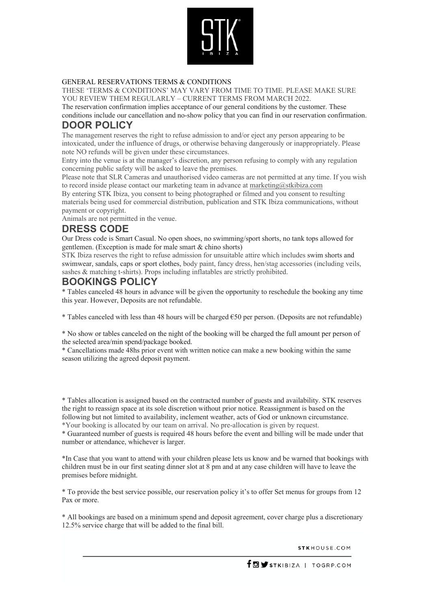

#### GENERAL RESERVATIONS TERMS & CONDITIONS

THESE 'TERMS & CONDITIONS' MAY VARY FROM TIME TO TIME. PLEASE MAKE SURE YOU REVIEW THEM REGULARLY – CURRENT TERMS FROM MARCH 2022.

The reservation confirmation implies acceptance of our general conditions by the customer. These conditions include our cancellation and no-show policy that you can find in our reservation confirmation.

### **DOOR POLICY**

The management reserves the right to refuse admission to and/or eject any person appearing to be intoxicated, under the influence of drugs, or otherwise behaving dangerously or inappropriately. Please note NO refunds will be given under these circumstances.

Entry into the venue is at the manager's discretion, any person refusing to comply with any regulation concerning public safety will be asked to leave the premises.

Please note that SLR Cameras and unauthorised video cameras are not permitted at any time. If you wish to record inside please contact our marketing team in advance at marketing $@$ stkibiza.com

By entering STK Ibiza, you consent to being photographed or filmed and you consent to resulting materials being used for commercial distribution, publication and STK Ibiza communications, without payment or copyright.

Animals are not permitted in the venue.

### **DRESS CODE**

Our Dress code is Smart Casual. No open shoes, no swimming/sport shorts, no tank tops allowed for gentlemen. (Exception is made for male smart & chino shorts)

STK Ibiza reserves the right to refuse admission for unsuitable attire which includes swim shorts and swimwear, sandals, caps or sport clothes, body paint, fancy dress, hen/stag accessories (including veils, sashes & matching t-shirts). Props including inflatables are strictly prohibited.

### **BOOKINGS POLICY**

\* Tables canceled 48 hours in advance will be given the opportunity to reschedule the booking any time this year. However, Deposits are not refundable.

\* Tables canceled with less than 48 hours will be charged  $\epsilon$  50 per person. (Deposits are not refundable)

\* No show or tables canceled on the night of the booking will be charged the full amount per person of the selected area/min spend/package booked.

\* Cancellations made 48hs prior event with written notice can make a new booking within the same season utilizing the agreed deposit payment.

\* Tables allocation is assigned based on the contracted number of guests and availability. STK reserves the right to reassign space at its sole discretion without prior notice. Reassignment is based on the following but not limited to availability, inclement weather, acts of God or unknown circumstance. \*Your booking is allocated by our team on arrival. No pre-allocation is given by request.

\* Guaranteed number of guests is required 48 hours before the event and billing will be made under that number or attendance, whichever is larger.

\*In Case that you want to attend with your children please lets us know and be warned that bookings with children must be in our first seating dinner slot at 8 pm and at any case children will have to leave the premises before midnight.

\* To provide the best service possible, our reservation policy it's to offer Set menus for groups from 12 Pax or more.

\* All bookings are based on a minimum spend and deposit agreement, cover charge plus a discretionary 12.5% service charge that will be added to the final bill.

STKHOUSE.COM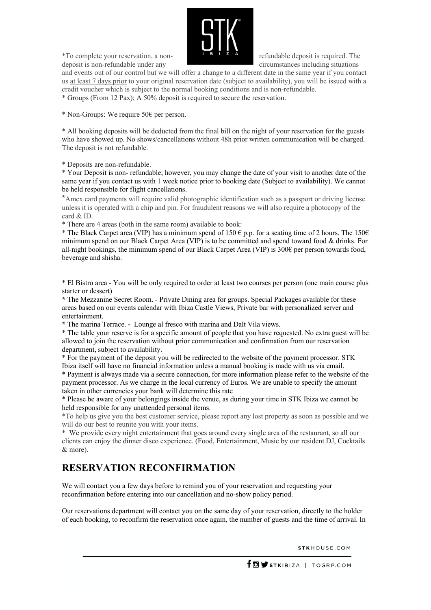

\*To complete your reservation, a non- refundable deposit is required. The deposit is non-refundable under any circumstances including situations

and events out of our control but we will offer a change to a different date in the same year if you contact us at least 7 days prior to your original reservation date (subject to availability), you will be issued with a credit voucher which is subject to the normal booking conditions and is non-refundable. \* Groups (From 12 Pax); A 50% deposit is required to secure the reservation.

\* Non-Groups: We require 50€ per person.

\* All booking deposits will be deducted from the final bill on the night of your reservation for the guests who have showed up. No shows/cancellations without 48h prior written communication will be charged. The deposit is not refundable.

\* Deposits are non-refundable.

\* Your Deposit is non- refundable; however, you may change the date of your visit to another date of the same year if you contact us with 1 week notice prior to booking date (Subject to availability). We cannot be held responsible for flight cancellations.

\*Amex card payments will require valid photographic identification such as a passport or driving license unless it is operated with a chip and pin. For fraudulent reasons we will also require a photocopy of the card & ID.

\* There are 4 areas (both in the same room) available to book:

\* The Black Carpet area (VIP) has a minimum spend of 150  $\epsilon$  p.p. for a seating time of 2 hours. The 150 $\epsilon$ minimum spend on our Black Carpet Area (VIP) is to be committed and spend toward food & drinks. For all-night bookings, the minimum spend of our Black Carpet Area (VIP) is 300€ per person towards food, beverage and shisha.

\* El Bistro area - You will be only required to order at least two courses per person (one main course plus starter or dessert)

**\*** The Mezzanine Secret Room. - Private Dining area for groups. Special Packages available for these areas based on our events calendar with Ibiza Castle Views, Private bar with personalized server and entertainment.

**\*** The marina Terrace. **-** Lounge al fresco with marina and Dalt Vila views.

\* The table your reserve is for a specific amount of people that you have requested. No extra guest will be allowed to join the reservation without prior communication and confirmation from our reservation department, subject to availability.

\* For the payment of the deposit you will be redirected to the website of the payment processor. STK Ibiza itself will have no financial information unless a manual booking is made with us via email.

\* Payment is always made via a secure connection, for more information please refer to the website of the payment processor. As we charge in the local currency of Euros. We are unable to specify the amount taken in other currencies your bank will determine this rate

\* Please be aware of your belongings inside the venue, as during your time in STK Ibiza we cannot be held responsible for any unattended personal items.

\*To help us give you the best customer service, please report any lost property as soon as possible and we will do our best to reunite you with your items.

\* We provide every night entertainment that goes around every single area of the restaurant, so all our clients can enjoy the dinner disco experience. (Food, Entertainment, Music by our resident DJ, Cocktails & more).

## **RESERVATION RECONFIRMATION**

We will contact you a few days before to remind you of your reservation and requesting your reconfirmation before entering into our cancellation and no-show policy period.

Our reservations department will contact you on the same day of your reservation, directly to the holder of each booking, to reconfirm the reservation once again, the number of guests and the time of arrival. In

STKHOUSE.COM